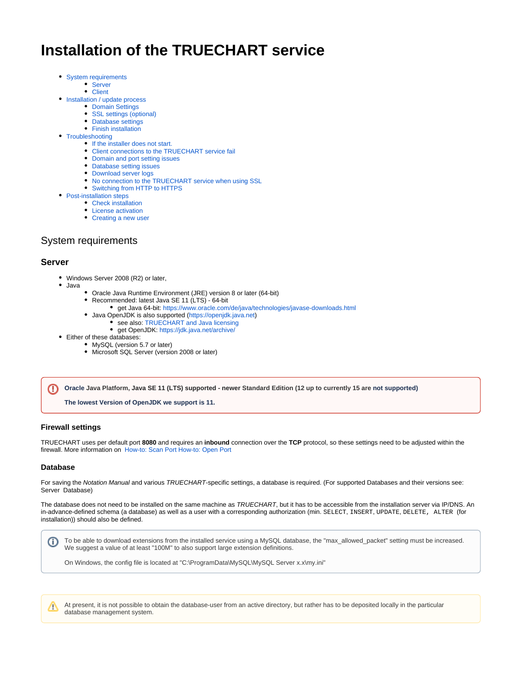# **Installation of the TRUECHART service**

- [System requirements](#page-0-0)
	- [Server](#page-0-1)
	- [Client](#page-0-2)
- [Installation / update process](#page-1-0)
	- [Domain Settings](#page-2-0)
	- [SSL settings \(optional\)](#page-3-0) • [Database settings](#page-5-0)
	- [Finish installation](#page-6-0)
- [Troubleshooting](#page-7-0)
	- [If the installer does not start.](#page-7-1)
	- [Client connections to the TRUECHART service fail](#page-7-2)
	- [Domain and port setting issues](#page-8-0)
	- [Database setting issues](#page-8-1)
	- [Download server logs](#page-8-2)
	- [No connection to the TRUECHART service when using SSL](#page-9-0)
	- [Switching from HTTP to HTTPS](#page-10-0)
- [Post-installation steps](#page-10-1)
	- [Check installation](#page-10-2)
	- [License activation](#page-10-3)
	- [Creating a new user](#page-10-4)

# <span id="page-0-0"></span>System requirements

### <span id="page-0-1"></span>**Server**

- Windows Server 2008 (R2) or later,
- Java
	- Oracle Java Runtime Environment (JRE) version 8 or later (64-bit)
		- Recommended: latest Java SE 11 (LTS) 64-bit
			- get Java 64-bit:<https://www.oracle.com/de/java/technologies/javase-downloads.html>
		- Java OpenJDK is also supported ([https://openjdk.java.net\)](https://openjdk.java.net/)
			- see also: TRUECHART and Java licensing
			- get OpenJDK:<https://jdk.java.net/archive/>
- Either of these databases:
	- MySQL (version 5.7 or later)
	- Microsoft SQL Server (version 2008 or later)

**Oracle Java Platform, Java SE 11 (LTS) supported - newer Standard Edition (12 up to currently 15 are not supported)** ⋒

**The lowest Version of OpenJDK we support is 11.**

#### **Firewall settings**

TRUECHART uses per default port **8080** and requires an **inbound** connection over the **TCP** protocol, so these settings need to be adjusted within the firewall. More information on [How-to: Scan Port](https://dev.highcoordination.de/wiki/pages/viewpage.action?pageId=50626583) [How-to: Open Port](https://dev.highcoordination.de/wiki/display/dkb/How-to%3A+Open+Port)

#### **Database**

(i)

For saving the Notation Manual and various TRUECHART-specific settings, a database is required. (For supported Databases and their versions see: Server Database)

The database does not need to be installed on the same machine as TRUECHART, but it has to be accessible from the installation server via IP/DNS. An in-advance-defined schema (a database) as well as a user with a corresponding authorization (min. SELECT, INSERT, UPDATE, DELETE, ALTER (for installation)) should also be defined.

To be able to download extensions from the installed service using a MySQL database, the "max\_allowed\_packet" setting must be increased. We suggest a value of at least "100M" to also support large extension definitions.

On Windows, the config file is located at "C:\ProgramData\MySQL\MySQL Server x.x\my.ini"

<span id="page-0-2"></span>At present, it is not possible to obtain the database-user from an active directory, but rather has to be deposited locally in the particular W database management system.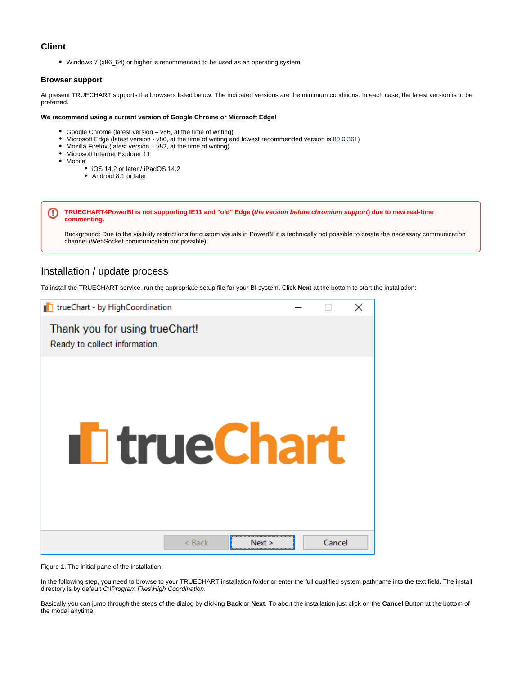

# **Client**

Windows 7 (x86\_64) or higher is recommended to be used as an operating system.

#### **Browser support**

At present TRUECHART supports the browsers listed below. The indicated versions are the minimum conditions. In each case, the latest version is to be preferred.

#### **We recommend using a current version of Google Chrome or Microsoft Edge!**

- Google Chrome (latest version v86, at the time of writing)
- Microsoft Edge (latest version v86, at the time of writing and lowest recommended version is 80.0.361)
- $\bullet$  Mozilla Firefox (latest version v82, at the time of writing)
- Microsoft Internet Explorer 11
- Mobile
	- iOS 14.2 or later / iPadOS 14.2
	- Android 8.1 or later

**TRUECHART4PowerBI is not supporting IE11 and "old" Edge (the version before chromium support) due to new real-time**  ω **commenting.** 

Background: Due to the visibility restrictions for custom visuals in PowerBI it is technically not possible to create the necessary communication channel (WebSocket communication not possible)

# <span id="page-1-0"></span>Installation / update process

To install the TRUECHART service, run the appropriate setup file for your BI system. Click **Next** at the bottom to start the installation:

| T trueChart - by HighCoordination                               |        | × |
|-----------------------------------------------------------------|--------|---|
| Thank you for using trueChart!<br>Ready to collect information. |        |   |
| <b>I</b> T true Chart                                           |        |   |
| $<$ Back<br>Next >                                              | Cancel |   |

Figure 1. The initial pane of the installation.

In the following step, you need to browse to your TRUECHART installation folder or enter the full qualified system pathname into the text field. The install directory is by default C:\Program Files\High Coordination.

Basically you can jump through the steps of the dialog by clicking **Back** or **Next**. To abort the installation just click on the **Cancel** Button at the bottom of the modal anytime.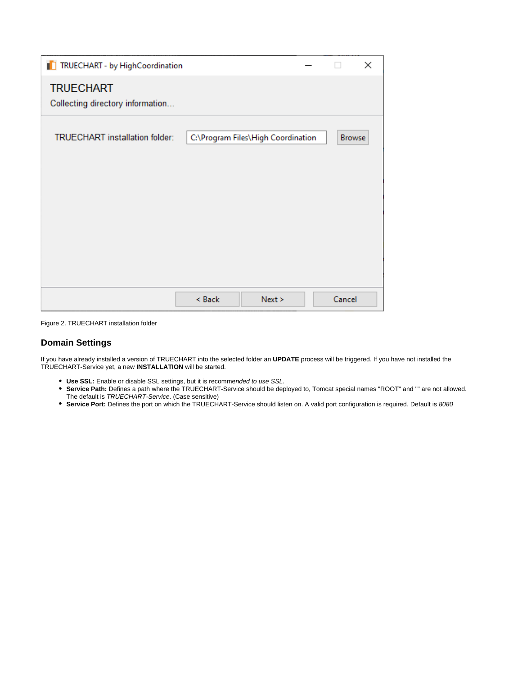| TRUECHART - by HighCoordination                      |        |                                    |               | × |
|------------------------------------------------------|--------|------------------------------------|---------------|---|
| <b>TRUECHART</b><br>Collecting directory information |        |                                    |               |   |
| <b>TRUECHART</b> installation folder:                |        | C:\Program Files\High Coordination | <b>Browse</b> |   |
|                                                      |        |                                    |               |   |
|                                                      |        |                                    |               |   |
|                                                      |        |                                    |               |   |
|                                                      |        |                                    |               |   |
|                                                      | < Back | Next                               | Cancel        |   |

Figure 2. TRUECHART installation folder

# <span id="page-2-0"></span>**Domain Settings**

If you have already installed a version of TRUECHART into the selected folder an **UPDATE** process will be triggered. If you have not installed the TRUECHART-Service yet, a new **INSTALLATION** will be started.

- **Use SSL:** Enable or disable SSL settings, but it is recommended to use SSL.
- **Service Path:** Defines a path where the TRUECHART-Service should be deployed to, Tomcat special names "ROOT" and "" are not allowed. The default is TRUECHART-Service. (Case sensitive)
- **Service Port:** Defines the port on which the TRUECHART-Service should listen on. A valid port configuration is required. Default is 8080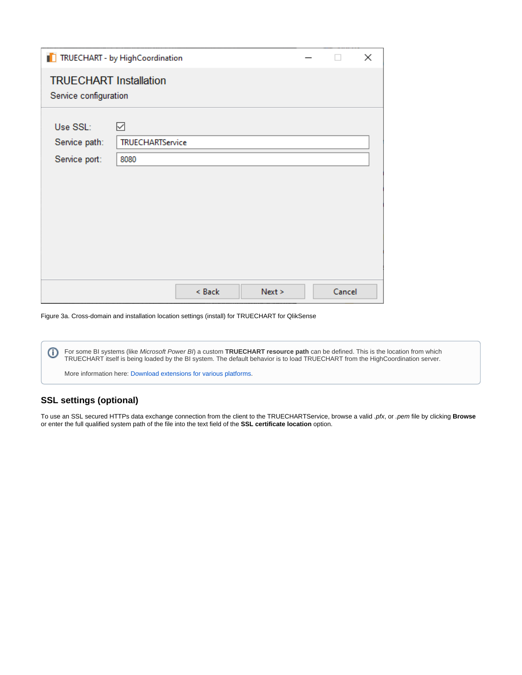| ×<br>TRUECHART - by HighCoordination                   |                       |        |        |        |  |  |  |
|--------------------------------------------------------|-----------------------|--------|--------|--------|--|--|--|
| <b>TRUECHART Installation</b><br>Service configuration |                       |        |        |        |  |  |  |
| Use SSL:<br>Service path:                              | ☑<br>TRUECHARTService |        |        |        |  |  |  |
| Service port:                                          | 8080                  |        |        |        |  |  |  |
|                                                        |                       |        |        |        |  |  |  |
|                                                        |                       |        |        |        |  |  |  |
|                                                        |                       | < Back | Next > | Cancel |  |  |  |

Figure 3a. Cross-domain and installation location settings (install) for TRUECHART for QlikSense

⊙ For some BI systems (like Microsoft Power BI) a custom **TRUECHART resource path** can be defined. This is the location from which TRUECHART itself is being loaded by the BI system. The default behavior is to load TRUECHART from the HighCoordination server. More information here: [Download extensions for various platforms.](https://dev.highcoordination.de/wiki/display/tckb/Download+extensions+for+various+platforms)

# <span id="page-3-0"></span>**SSL settings (optional)**

To use an SSL secured HTTPs data exchange connection from the client to the TRUECHARTService, browse a valid .pfx, or .pem file by clicking **Browse** or enter the full qualified system path of the file into the text field of the **SSL certificate location** option.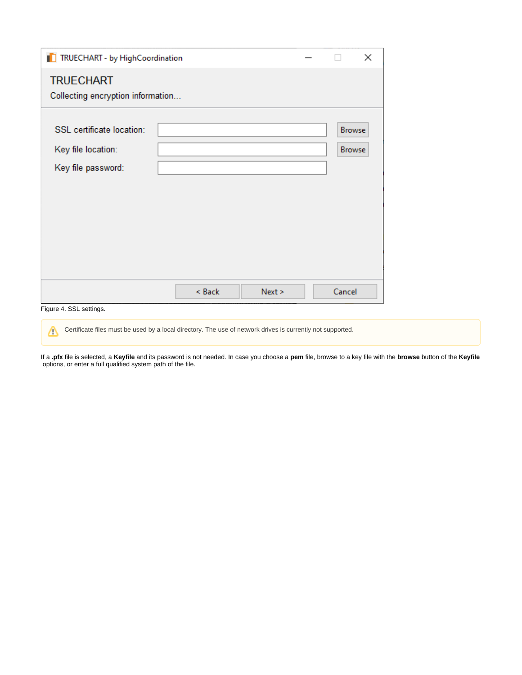| TRUECHART - by HighCoordination                                       |        |        | $\times$                       |
|-----------------------------------------------------------------------|--------|--------|--------------------------------|
| <b>TRUECHART</b>                                                      |        |        |                                |
| Collecting encryption information                                     |        |        |                                |
| SSL certificate location:<br>Key file location:<br>Key file password: |        |        | <b>Browse</b><br><b>Browse</b> |
| Figure 4. SSL settings.                                               | < Back | Next > | Cancel                         |

Certificate files must be used by a local directory. The use of network drives is currently not supported.Δ

If a **.pfx** file is selected, a **Keyfile** and its password is not needed. In case you choose a **pem** file, browse to a key file with the **browse** button of the **Keyfile** options, or enter a full qualified system path of the file.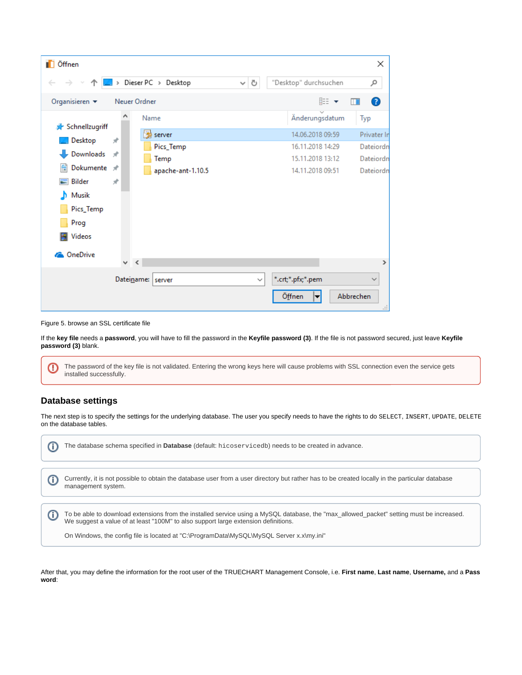| <b>D</b> Öffnen                                |                          |                              |                   |                       | ×                          |  |
|------------------------------------------------|--------------------------|------------------------------|-------------------|-----------------------|----------------------------|--|
|                                                |                          | $\Box$ > Dieser PC > Desktop | Ō<br>$\checkmark$ | "Desktop" durchsuchen | مر                         |  |
| Organisieren v                                 | 距 ▼<br>Neuer Ordner<br>m |                              |                   |                       |                            |  |
| <b>★</b> Schnellzugriff                        | Α                        | Name                         |                   | Änderungsdatum        | Typ                        |  |
|                                                |                          | server                       |                   | 14.06.2018 09:59      | Privater In                |  |
| Desktop                                        | À                        | Pics_Temp                    |                   | 16.11.2018 14:29      | Dateiordn                  |  |
| Downloads                                      | $\mathcal{A}$            | Temp                         |                   | 15.11.2018 13:12      | Dateiordn                  |  |
| Dokumente *<br>е                               |                          | apache-ant-1.10.5            |                   | 14.11.2018 09:51      | Dateiordn                  |  |
| Bilder                                         | À                        |                              |                   |                       |                            |  |
| Musik<br>D.                                    |                          |                              |                   |                       |                            |  |
| Pics_Temp                                      |                          |                              |                   |                       |                            |  |
| Prog                                           |                          |                              |                   |                       |                            |  |
| <b>W</b> Videos                                |                          |                              |                   |                       |                            |  |
| <b>Component Component Component Component</b> |                          |                              |                   |                       |                            |  |
|                                                | $\vee$ <                 |                              |                   |                       | $\rightarrow$              |  |
|                                                |                          | Dateiname: server            | $\checkmark$      | *.crt;*.pfx;*.pem     | $\checkmark$               |  |
|                                                |                          |                              |                   | Öffnen                | Abbrechen<br>$\mathcal{A}$ |  |

Figure 5. browse an SSL certificate file

If the **key file** needs a **password**, you will have to fill the password in the **Keyfile password (3)**. If the file is not password secured, just leave **Keyfile password (3)** blank.

The password of the key file is not validated. Entering the wrong keys here will cause problems with SSL connection even the service gets ⊕ installed successfully.

# <span id="page-5-0"></span>**Database settings**

The next step is to specify the settings for the underlying database. The user you specify needs to have the rights to do SELECT, INSERT, UPDATE, DELETE on the database tables.

| The database schema specified in <b>Database</b> (default: $\text{hicoserved}$ b) needs to be created in advance.                                                                                                                                                                                                          |
|----------------------------------------------------------------------------------------------------------------------------------------------------------------------------------------------------------------------------------------------------------------------------------------------------------------------------|
| Currently, it is not possible to obtain the database user from a user directory but rather has to be created locally in the particular database<br>management system.                                                                                                                                                      |
| To be able to download extensions from the installed service using a MySQL database, the "max_allowed_packet" setting must be increased.<br>We suggest a value of at least "100M" to also support large extension definitions.<br>On Windows, the config file is located at "C:\ProgramData\MySQL\MySQL Server x.x\my.ini" |

After that, you may define the information for the root user of the TRUECHART Management Console, i.e. **First name**, **Last name**, **Username,** and a **Pass word**: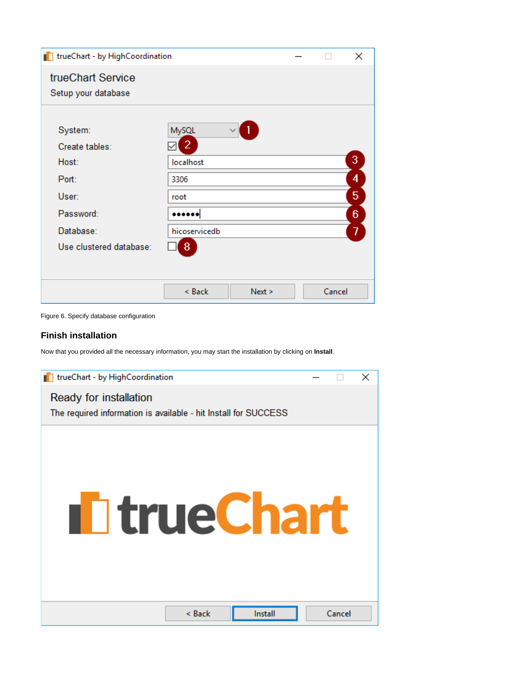| T trueChart - by HighCoordination        |                         |        | $\times$ |
|------------------------------------------|-------------------------|--------|----------|
| trueChart Service<br>Setup your database |                         |        |          |
| System:<br>Create tables:                | MySQL<br>$\overline{2}$ |        |          |
| Host:                                    | localhost               |        | 3        |
| Port:                                    | 3306                    |        | 4        |
| User:                                    | root                    |        | 5        |
| Password:                                |                         |        | 6        |
| Database:                                | hicoservicedb           |        | 7        |
| Use clustered database:                  | 8                       |        |          |
|                                          |                         |        |          |
|                                          | < Back<br>Next >        | Cancel |          |

Figure 6. Specify database configuration

## **Finish installation**

Now that you provided all the necessary information, you may start the installation by clicking on **Install**.

<span id="page-6-0"></span>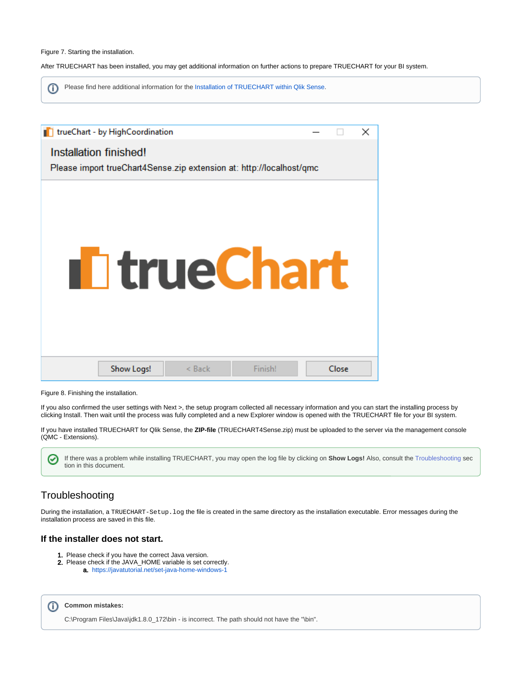#### Figure 7. Starting the installation.

After TRUECHART has been installed, you may get additional information on further actions to prepare TRUECHART for your BI system.

ന Please find here additional information for the [Installation of TRUECHART within Qlik Sense.](https://dev.highcoordination.de/wiki/display/tckb/Installation+of+TRUECHART+within+Qlik+Sense)

| trueChart - by HighCoordination                                      |       | × |
|----------------------------------------------------------------------|-------|---|
| Installation finished!                                               |       |   |
| Please import trueChart4Sense.zip extension at: http://localhost/qmc |       |   |
|                                                                      |       |   |
|                                                                      |       |   |
|                                                                      |       |   |
|                                                                      |       |   |
|                                                                      |       |   |
| <b>I</b> I true Chart                                                |       |   |
|                                                                      |       |   |
|                                                                      |       |   |
|                                                                      |       |   |
|                                                                      |       |   |
| Finish!<br>Show Logs!<br>$<$ Back                                    | Close |   |
|                                                                      |       |   |

Figure 8. Finishing the installation.

If you also confirmed the user settings with Next >, the setup program collected all necessary information and you can start the installing process by clicking Install. Then wait until the process was fully completed and a new Explorer window is opened with the TRUECHART file for your BI system.

If you have installed TRUECHART for Qlik Sense, the **ZIP-file** (TRUECHART4Sense.zip) must be uploaded to the server via the management console (QMC - Extensions).

If there was a problem while installing TRUECHART, you may open the log file by clicking on **Show Logs!** Also, consult the [Troubleshooting](https://dev.highcoordination.de/wiki/display/tckb/Installation+of+the+trueChart+service#InstallationofthetrueChartservice-Troubleshooting) sec ☑ tion in this document.

# <span id="page-7-0"></span>Troubleshooting

During the installation, a TRUECHART-Setup.log the file is created in the same directory as the installation executable. Error messages during the installation process are saved in this file.

# <span id="page-7-1"></span>**If the installer does not start.**

- 1. Please check if you have the correct Java version.
- 2. Please check if the JAVA\_HOME variable is set correctly. a. [https://javatutorial.net/set-java-home-windows-1](https://javatutorial.net/set-java-home-windows-10)

<span id="page-7-2"></span>

C:\Program Files\Java\jdk1.8.0\_172\bin - is incorrect. The path should not have the "\bin".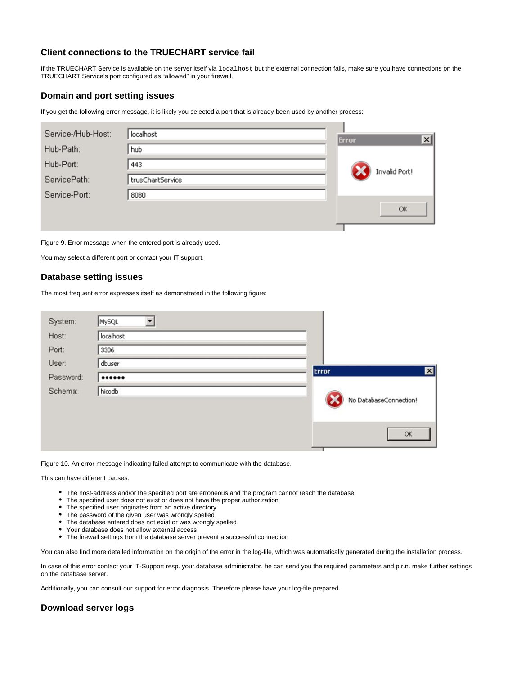

### **Client connections to the TRUECHART service fail**

If the TRUECHART Service is available on the server itself via localhost but the external connection fails, make sure you have connections on the TRUECHART Service's port configured as "allowed" in your firewall.

### <span id="page-8-0"></span>**Domain and port setting issues**

If you get the following error message, it is likely you selected a port that is already been used by another process:

| Service-/Hub-Host: | localhost        | <b>Error</b> |               | $\vert x \vert$ |
|--------------------|------------------|--------------|---------------|-----------------|
| Hub-Path:          | hub              |              |               |                 |
| Hub-Port:          | 443              |              | Invalid Port! |                 |
| ServicePath:       | trueChartService |              |               |                 |
| Service-Port:      | 8080             |              |               |                 |
|                    |                  |              | OK            |                 |
|                    |                  |              |               |                 |

Figure 9. Error message when the entered port is already used.

You may select a different port or contact your IT support.

### <span id="page-8-1"></span>**Database setting issues**

The most frequent error expresses itself as demonstrated in the following figure:

| System:   | MySQL     |                        |                 |
|-----------|-----------|------------------------|-----------------|
| Host:     | localhost |                        |                 |
| Port:     | 3306      |                        |                 |
| User:     | dbuser    |                        |                 |
| Password: |           | Error                  | $\vert x \vert$ |
| Schema:   | hicodb    |                        |                 |
|           |           | No DatabaseConnection! |                 |
|           |           |                        |                 |
|           |           | OK                     |                 |
|           |           |                        |                 |

Figure 10. An error message indicating failed attempt to communicate with the database.

This can have different causes:

- The host-address and/or the specified port are erroneous and the program cannot reach the database
- The specified user does not exist or does not have the proper authorization
- The specified user originates from an active directory
- The password of the given user was wrongly spelled
- The database entered does not exist or was wrongly spelled
- Your database does not allow external access
- The firewall settings from the database server prevent a successful connection

You can also find more detailed information on the origin of the error in the log-file, which was automatically generated during the installation process.

In case of this error contact your IT-Support resp. your database administrator, he can send you the required parameters and p.r.n. make further settings on the database server.

Additionally, you can consult our support for error diagnosis. Therefore please have your log-file prepared.

### <span id="page-8-2"></span>**Download server logs**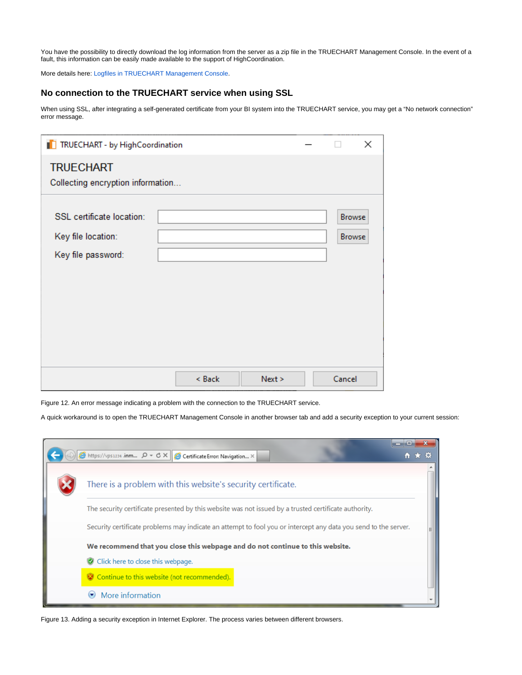You have the possibility to directly download the log information from the server as a zip file in the TRUECHART Management Console. In the event of a fault, this information can be easily made available to the support of HighCoordination.

More details here: [Logfiles in TRUECHART Management Console.](https://dev.highcoordination.de/wiki/display/tckb/TRUECHART+Management+Console#TRUECHARTManagementConsole-Logfiles)

# <span id="page-9-0"></span>**No connection to the TRUECHART service when using SSL**

When using SSL, after integrating a self-generated certificate from your BI system into the TRUECHART service, you may get a "No network connection" error message.

| TRUECHART - by HighCoordination                                       |        |        | ×                              |
|-----------------------------------------------------------------------|--------|--------|--------------------------------|
| <b>TRUECHART</b>                                                      |        |        |                                |
| Collecting encryption information                                     |        |        |                                |
| SSL certificate location:<br>Key file location:<br>Key file password: |        |        | <b>Browse</b><br><b>Browse</b> |
|                                                                       |        |        |                                |
|                                                                       |        |        |                                |
|                                                                       | < Back | Next > | Cancel                         |

Figure 12. An error message indicating a problem with the connection to the TRUECHART service.

A quick workaround is to open the TRUECHART Management Console in another browser tab and add a security exception to your current session:

| A https://vps1234 .inm 0 - C X Certificate Error: Navigation X                                                  |  |
|-----------------------------------------------------------------------------------------------------------------|--|
| There is a problem with this website's security certificate.                                                    |  |
| The security certificate presented by this website was not issued by a trusted certificate authority.           |  |
| Security certificate problems may indicate an attempt to fool you or intercept any data you send to the server. |  |
| We recommend that you close this webpage and do not continue to this website.                                   |  |
| Click here to close this webpage.                                                                               |  |
| <b>W</b> Continue to this website (not recommended).                                                            |  |
| More information                                                                                                |  |

Figure 13. Adding a security exception in Internet Explorer. The process varies between different browsers.